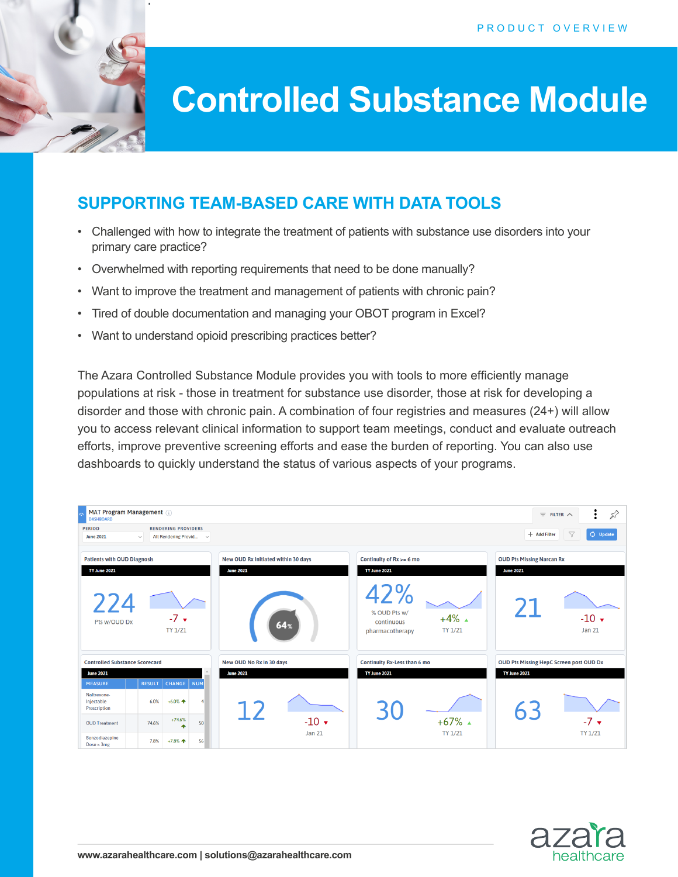

# **Controlled Substance Module**

## **SUPPORTING TEAM-BASED CARE WITH DATA TOOLS**

- Challenged with how to integrate the treatment of patients with substance use disorders into your primary care practice?
- Overwhelmed with reporting requirements that need to be done manually?
- Want to improve the treatment and management of patients with chronic pain?
- Tired of double documentation and managing your OBOT program in Excel?
- Want to understand opioid prescribing practices better?

The Azara Controlled Substance Module provides you with tools to more efficiently manage populations at risk - those in treatment for substance use disorder, those at risk for developing a disorder and those with chronic pain. A combination of four registries and measures (24+) will allow you to access relevant clinical information to support team meetings, conduct and evaluate outreach efforts, improve preventive screening efforts and ease the burden of reporting. You can also use dashboards to quickly understand the status of various aspects of your programs.